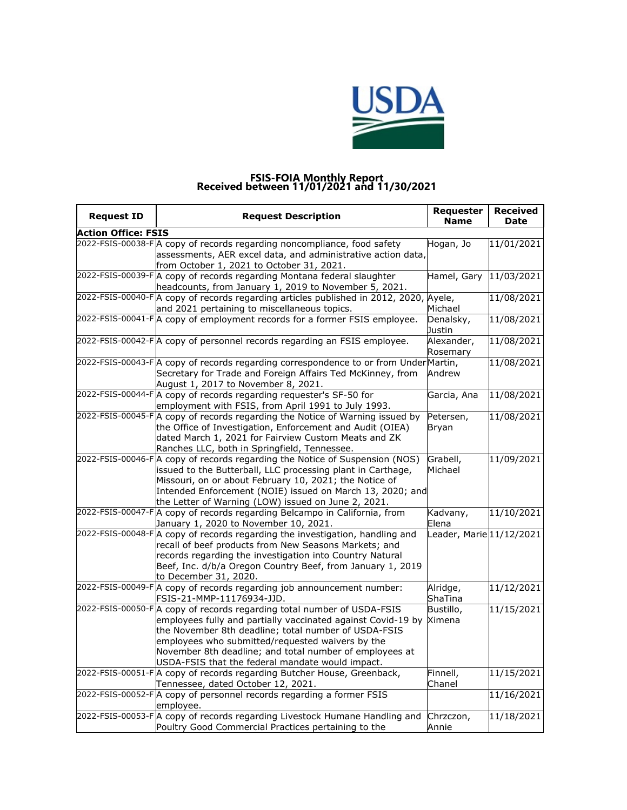

## **FSIS-FOIA Monthly Report Received between 11/01/2021 and 11/30/2021**

| <b>Request ID</b>          | <b>Request Description</b>                                                                                                                                                                                                                                                                                                                                                | Requester<br><b>Name</b>   | <b>Received</b><br>Date |  |  |
|----------------------------|---------------------------------------------------------------------------------------------------------------------------------------------------------------------------------------------------------------------------------------------------------------------------------------------------------------------------------------------------------------------------|----------------------------|-------------------------|--|--|
| <b>Action Office: FSIS</b> |                                                                                                                                                                                                                                                                                                                                                                           |                            |                         |  |  |
|                            | 2022-FSIS-00038-F A copy of records regarding noncompliance, food safety<br>assessments, AER excel data, and administrative action data,<br>from October 1, 2021 to October 31, 2021.                                                                                                                                                                                     | Hogan, Jo                  | 11/01/2021              |  |  |
|                            | 2022-FSIS-00039-F A copy of records regarding Montana federal slaughter<br>headcounts, from January 1, 2019 to November 5, 2021.                                                                                                                                                                                                                                          | Hamel, Gary                | 11/03/2021              |  |  |
|                            | 2022-FSIS-00040-F A copy of records regarding articles published in 2012, 2020, Ayele,<br>and 2021 pertaining to miscellaneous topics.                                                                                                                                                                                                                                    | Michael                    | 11/08/2021              |  |  |
|                            | 2022-FSIS-00041-FA copy of employment records for a former FSIS employee.                                                                                                                                                                                                                                                                                                 | Denalsky,<br>Justin        | 11/08/2021              |  |  |
|                            | 2022-FSIS-00042-F A copy of personnel records regarding an FSIS employee.                                                                                                                                                                                                                                                                                                 | Alexander,<br>Rosemary     | 11/08/2021              |  |  |
|                            | 2022-FSIS-00043-F A copy of records regarding correspondence to or from Under Martin,<br>Secretary for Trade and Foreign Affairs Ted McKinney, from<br>August 1, 2017 to November 8, 2021.                                                                                                                                                                                | Andrew                     | 11/08/2021              |  |  |
|                            | 2022-FSIS-00044-F A copy of records regarding requester's SF-50 for<br>employment with FSIS, from April 1991 to July 1993.                                                                                                                                                                                                                                                | Garcia, Ana                | 11/08/2021              |  |  |
|                            | 2022-FSIS-00045-FA copy of records regarding the Notice of Warning issued by<br>the Office of Investigation, Enforcement and Audit (OIEA)<br>dated March 1, 2021 for Fairview Custom Meats and ZK<br>Ranches LLC, both in Springfield, Tennessee.                                                                                                                         | Petersen,<br><b>Bryan</b>  | 11/08/2021              |  |  |
|                            | 2022-FSIS-00046-FA copy of records regarding the Notice of Suspension (NOS)<br>issued to the Butterball, LLC processing plant in Carthage,<br>Missouri, on or about February 10, 2021; the Notice of<br>Intended Enforcement (NOIE) issued on March 13, 2020; and<br>the Letter of Warning (LOW) issued on June 2, 2021.                                                  | Grabell,<br>Michael        | 11/09/2021              |  |  |
|                            | 2022-FSIS-00047-FA copy of records regarding Belcampo in California, from<br>January 1, 2020 to November 10, 2021.                                                                                                                                                                                                                                                        | Kadvany,<br>Elena          | 11/10/2021              |  |  |
|                            | 2022-FSIS-00048-F A copy of records regarding the investigation, handling and<br>recall of beef products from New Seasons Markets; and<br>records regarding the investigation into Country Natural<br>Beef, Inc. d/b/a Oregon Country Beef, from January 1, 2019<br>to December 31, 2020.                                                                                 | Leader, Marie 11/12/2021   |                         |  |  |
|                            | 2022-FSIS-00049-FA copy of records regarding job announcement number:<br>FSIS-21-MMP-11176934-JJD.                                                                                                                                                                                                                                                                        | Alridge,<br><b>ShaTina</b> | 11/12/2021              |  |  |
|                            | 2022-FSIS-00050-F A copy of records regarding total number of USDA-FSIS<br>employees fully and partially vaccinated against Covid-19 by Ximena<br>the November 8th deadline; total number of USDA-FSIS<br>employees who submitted/requested waivers by the<br>November 8th deadline; and total number of employees at<br>USDA-FSIS that the federal mandate would impact. | Bustillo,                  | 11/15/2021              |  |  |
|                            | 2022-FSIS-00051-F A copy of records regarding Butcher House, Greenback,<br>Tennessee, dated October 12, 2021.                                                                                                                                                                                                                                                             | Finnell,<br>Chanel         | 11/15/2021              |  |  |
|                            | 2022-FSIS-00052-F A copy of personnel records regarding a former FSIS<br>employee.                                                                                                                                                                                                                                                                                        |                            | 11/16/2021              |  |  |
|                            | 2022-FSIS-00053-F A copy of records regarding Livestock Humane Handling and<br>Poultry Good Commercial Practices pertaining to the                                                                                                                                                                                                                                        | Chrzczon,<br>Annie         | 11/18/2021              |  |  |